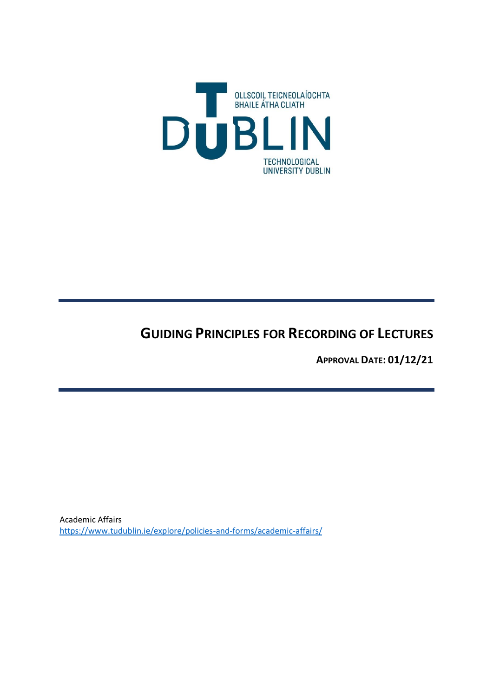

# **GUIDING PRINCIPLES FOR RECORDING OF LECTURES**

**APPROVAL DATE: 01/12/21**

Academic Affairs <https://www.tudublin.ie/explore/policies-and-forms/academic-affairs/>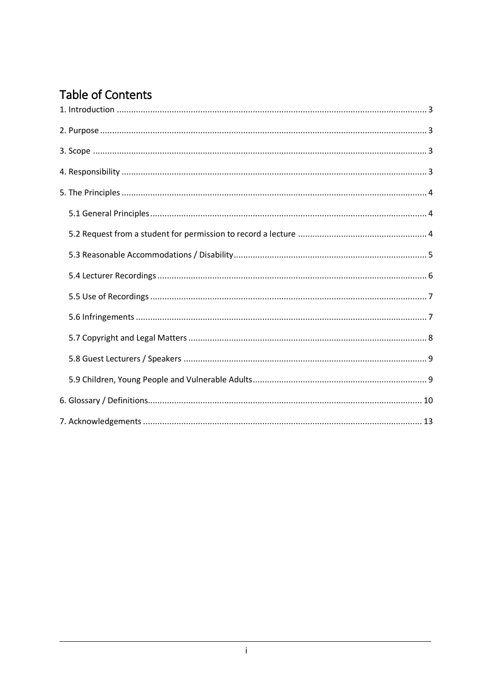# **Table of Contents**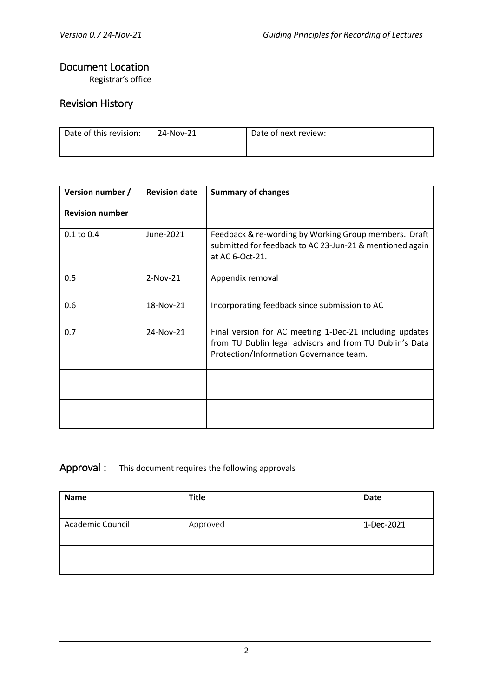### Document Location

Registrar's office

# Revision History

| Date of this revision: | 24-Nov-21 | Date of next review: |  |
|------------------------|-----------|----------------------|--|
|                        |           |                      |  |

| Version number /       | <b>Revision date</b> | <b>Summary of changes</b>                                                                                                                                     |
|------------------------|----------------------|---------------------------------------------------------------------------------------------------------------------------------------------------------------|
| <b>Revision number</b> |                      |                                                                                                                                                               |
| $0.1$ to $0.4$         | June-2021            | Feedback & re-wording by Working Group members. Draft<br>submitted for feedback to AC 23-Jun-21 & mentioned again<br>at AC 6-Oct-21.                          |
| 0.5                    | $2-Nov-21$           | Appendix removal                                                                                                                                              |
| 0.6                    | 18-Nov-21            | Incorporating feedback since submission to AC                                                                                                                 |
| 0.7                    | 24-Nov-21            | Final version for AC meeting 1-Dec-21 including updates<br>from TU Dublin legal advisors and from TU Dublin's Data<br>Protection/Information Governance team. |
|                        |                      |                                                                                                                                                               |
|                        |                      |                                                                                                                                                               |

# Approval : This document requires the following approvals

| <b>Name</b>      | <b>Title</b> | <b>Date</b> |
|------------------|--------------|-------------|
| Academic Council | Approved     | 1-Dec-2021  |
|                  |              |             |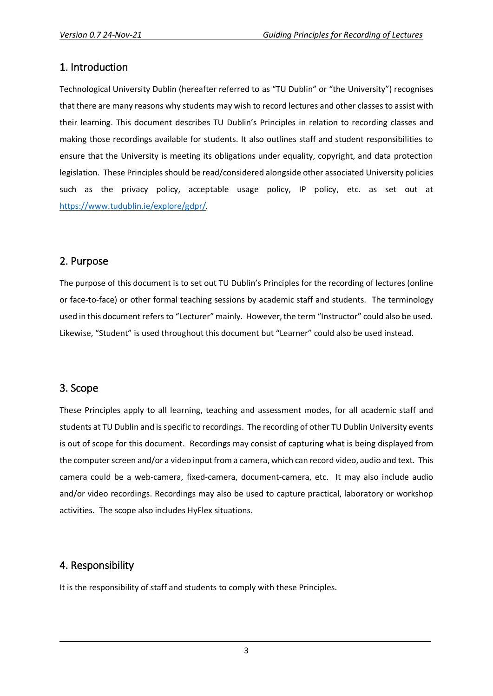### <span id="page-3-0"></span>1. Introduction

Technological University Dublin (hereafter referred to as "TU Dublin" or "the University") recognises that there are many reasons why students may wish to record lectures and other classes to assist with their learning. This document describes TU Dublin's Principles in relation to recording classes and making those recordings available for students. It also outlines staff and student responsibilities to ensure that the University is meeting its obligations under equality, copyright, and data protection legislation. These Principles should be read/considered alongside other associated University policies such as the privacy policy, acceptable usage policy, IP policy, etc. as set out at [https://www.tudublin.ie/explore/gdpr/.](https://www.tudublin.ie/explore/gdpr/)

# <span id="page-3-1"></span>2. Purpose

The purpose of this document is to set out TU Dublin's Principles for the recording of lectures (online or face-to-face) or other formal teaching sessions by academic staff and students. The terminology used in this document refers to "Lecturer" mainly. However, the term "Instructor" could also be used. Likewise, "Student" is used throughout this document but "Learner" could also be used instead.

# <span id="page-3-2"></span>3. Scope

These Principles apply to all learning, teaching and assessment modes, for all academic staff and students at TU Dublin and is specific to recordings. The recording of other TU Dublin University events is out of scope for this document. Recordings may consist of capturing what is being displayed from the computer screen and/or a video input from a camera, which can record video, audio and text. This camera could be a web-camera, fixed-camera, document-camera, etc. It may also include audio and/or video recordings. Recordings may also be used to capture practical, laboratory or workshop activities. The scope also includes HyFlex situations.

# <span id="page-3-3"></span>4. Responsibility

It is the responsibility of staff and students to comply with these Principles.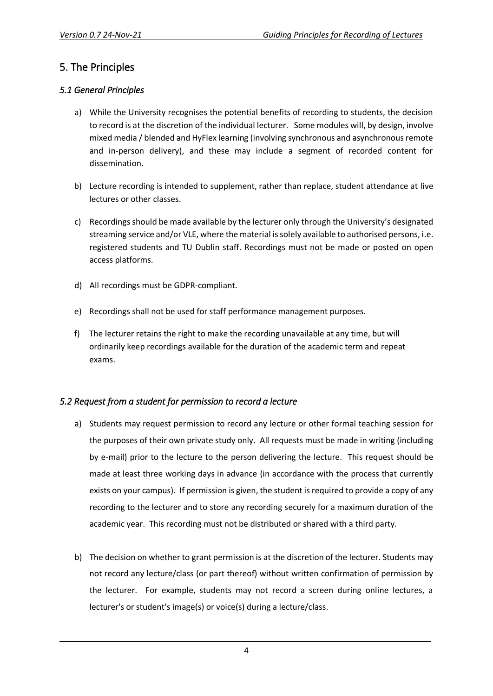# <span id="page-4-0"></span>5. The Principles

#### <span id="page-4-1"></span>*5.1 General Principles*

- a) While the University recognises the potential benefits of recording to students, the decision to record is at the discretion of the individual lecturer. Some modules will, by design, involve mixed media / blended and HyFlex learning (involving synchronous and asynchronous remote and in-person delivery), and these may include a segment of recorded content for dissemination.
- b) Lecture recording is intended to supplement, rather than replace, student attendance at live lectures or other classes.
- c) Recordings should be made available by the lecturer only through the University's designated streaming service and/or VLE, where the material is solely available to authorised persons, i.e. registered students and TU Dublin staff. Recordings must not be made or posted on open access platforms.
- d) All recordings must be GDPR-compliant.
- e) Recordings shall not be used for staff performance management purposes.
- f) The lecturer retains the right to make the recording unavailable at any time, but will ordinarily keep recordings available for the duration of the academic term and repeat exams.

#### <span id="page-4-2"></span>*5.2 Request from a student for permission to record a lecture*

- a) Students may request permission to record any lecture or other formal teaching session for the purposes of their own private study only. All requests must be made in writing (including by e-mail) prior to the lecture to the person delivering the lecture. This request should be made at least three working days in advance (in accordance with the process that currently exists on your campus). If permission is given, the student is required to provide a copy of any recording to the lecturer and to store any recording securely for a maximum duration of the academic year. This recording must not be distributed or shared with a third party.
- b) The decision on whether to grant permission is at the discretion of the lecturer. Students may not record any lecture/class (or part thereof) without written confirmation of permission by the lecturer. For example, students may not record a screen during online lectures, a lecturer's or student's image(s) or voice(s) during a lecture/class.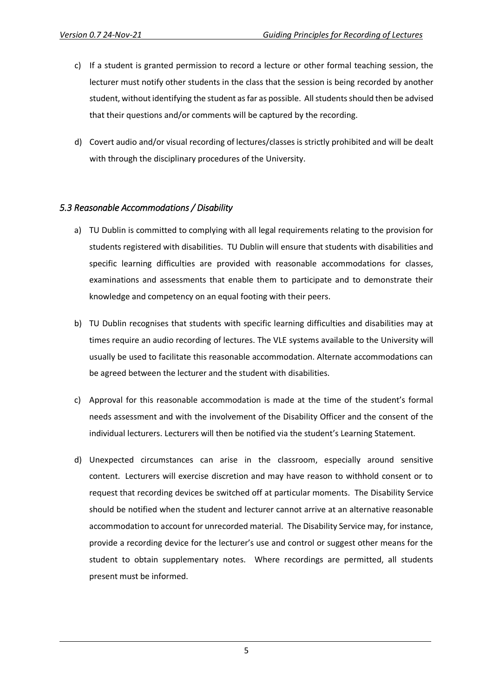- c) If a student is granted permission to record a lecture or other formal teaching session, the lecturer must notify other students in the class that the session is being recorded by another student, without identifying the student as far as possible. All students should then be advised that their questions and/or comments will be captured by the recording.
- d) Covert audio and/or visual recording of lectures/classes is strictly prohibited and will be dealt with through the disciplinary procedures of the University.

#### <span id="page-5-0"></span>*5.3 Reasonable Accommodations / Disability*

- a) TU Dublin is committed to complying with all legal requirements relating to the provision for students registered with disabilities. TU Dublin will ensure that students with disabilities and specific learning difficulties are provided with reasonable accommodations for classes, examinations and assessments that enable them to participate and to demonstrate their knowledge and competency on an equal footing with their peers.
- b) TU Dublin recognises that students with specific learning difficulties and disabilities may at times require an audio recording of lectures. The VLE systems available to the University will usually be used to facilitate this reasonable accommodation. Alternate accommodations can be agreed between the lecturer and the student with disabilities.
- c) Approval for this reasonable accommodation is made at the time of the student's formal needs assessment and with the involvement of the Disability Officer and the consent of the individual lecturers. Lecturers will then be notified via the student's Learning Statement.
- d) Unexpected circumstances can arise in the classroom, especially around sensitive content. Lecturers will exercise discretion and may have reason to withhold consent or to request that recording devices be switched off at particular moments. The Disability Service should be notified when the student and lecturer cannot arrive at an alternative reasonable accommodation to account for unrecorded material. The Disability Service may, for instance, provide a recording device for the lecturer's use and control or suggest other means for the student to obtain supplementary notes. Where recordings are permitted, all students present must be informed.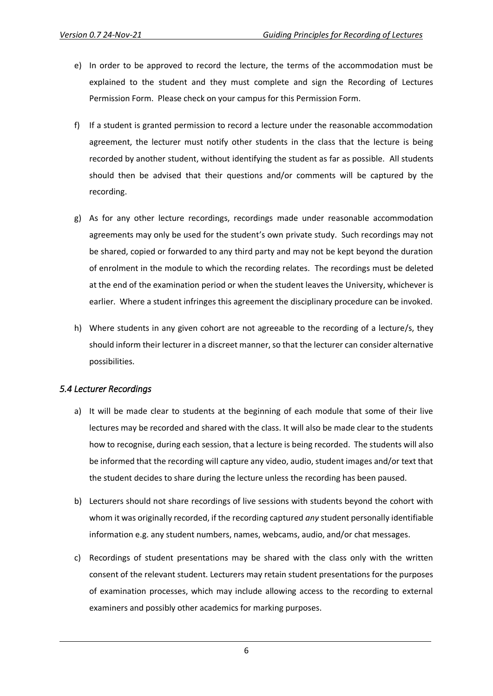- e) In order to be approved to record the lecture, the terms of the accommodation must be explained to the student and they must complete and sign the Recording of Lectures Permission Form. Please check on your campus for this Permission Form.
- f) If a student is granted permission to record a lecture under the reasonable accommodation agreement, the lecturer must notify other students in the class that the lecture is being recorded by another student, without identifying the student as far as possible. All students should then be advised that their questions and/or comments will be captured by the recording.
- g) As for any other lecture recordings, recordings made under reasonable accommodation agreements may only be used for the student's own private study. Such recordings may not be shared, copied or forwarded to any third party and may not be kept beyond the duration of enrolment in the module to which the recording relates. The recordings must be deleted at the end of the examination period or when the student leaves the University, whichever is earlier. Where a student infringes this agreement the disciplinary procedure can be invoked.
- h) Where students in any given cohort are not agreeable to the recording of a lecture/s, they should inform their lecturer in a discreet manner, so that the lecturer can consider alternative possibilities.

#### <span id="page-6-0"></span>*5.4 Lecturer Recordings*

- a) It will be made clear to students at the beginning of each module that some of their live lectures may be recorded and shared with the class. It will also be made clear to the students how to recognise, during each session, that a lecture is being recorded. The students will also be informed that the recording will capture any video, audio, student images and/or text that the student decides to share during the lecture unless the recording has been paused.
- b) Lecturers should not share recordings of live sessions with students beyond the cohort with whom it was originally recorded, if the recording captured *any* student personally identifiable information e.g. any student numbers, names, webcams, audio, and/or chat messages.
- c) Recordings of student presentations may be shared with the class only with the written consent of the relevant student. Lecturers may retain student presentations for the purposes of examination processes, which may include allowing access to the recording to external examiners and possibly other academics for marking purposes.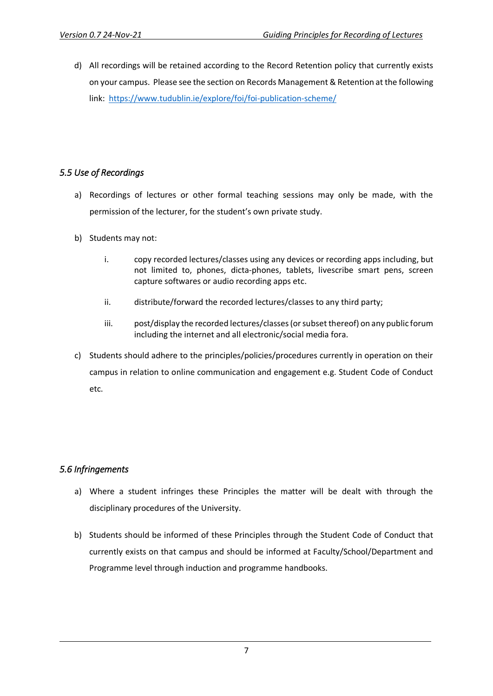d) All recordings will be retained according to the Record Retention policy that currently exists on your campus. Please see the section on Records Management & Retention at the following link: [https://www.tudublin.ie/explore/foi/foi-publication-scheme/](https://eur01.safelinks.protection.outlook.com/?url=https%3A%2F%2Fwww.tudublin.ie%2Fexplore%2Ffoi%2Ffoi-publication-scheme%2F&data=04%7C01%7CTom.Mulvey%40tudublin.ie%7C9e374aaec40c40ea566608d9a9204777%7C766317cbe9484e5f8cecdabc8e2fd5da%7C0%7C0%7C637726778387105858%7CUnknown%7CTWFpbGZsb3d8eyJWIjoiMC4wLjAwMDAiLCJQIjoiV2luMzIiLCJBTiI6Ik1haWwiLCJXVCI6Mn0%3D%7C3000&sdata=ofLzgVcoA1x0eNB5DW%2BCJJHcp0d6r%2BqOmQkRkjpSIQ8%3D&reserved=0)

#### <span id="page-7-0"></span>*5.5 Use of Recordings*

- a) Recordings of lectures or other formal teaching sessions may only be made, with the permission of the lecturer, for the student's own private study.
- b) Students may not:
	- i. copy recorded lectures/classes using any devices or recording apps including, but not limited to, phones, dicta-phones, tablets, livescribe smart pens, screen capture softwares or audio recording apps etc.
	- ii. distribute/forward the recorded lectures/classes to any third party;
	- iii. post/display the recorded lectures/classes (or subset thereof) on any public forum including the internet and all electronic/social media fora.
- c) Students should adhere to the principles/policies/procedures currently in operation on their campus in relation to online communication and engagement e.g. Student Code of Conduct etc.

#### <span id="page-7-1"></span>*5.6 Infringements*

- a) Where a student infringes these Principles the matter will be dealt with through the disciplinary procedures of the University.
- b) Students should be informed of these Principles through the Student Code of Conduct that currently exists on that campus and should be informed at Faculty/School/Department and Programme level through induction and programme handbooks.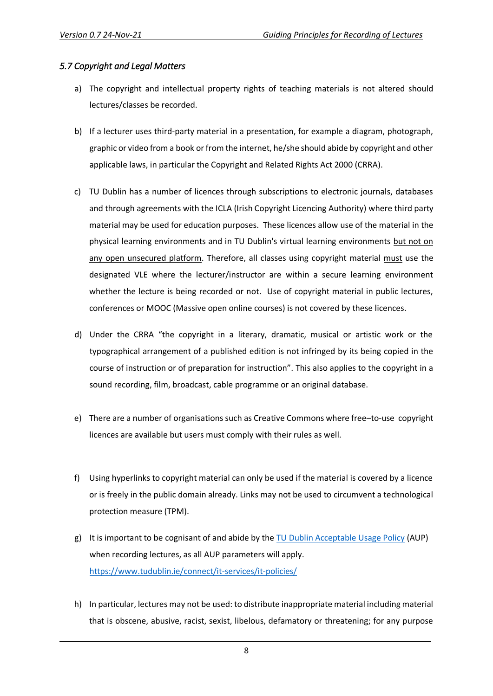#### <span id="page-8-0"></span>*5.7 Copyright and Legal Matters*

- a) The copyright and intellectual property rights of teaching materials is not altered should lectures/classes be recorded.
- b) If a lecturer uses third-party material in a presentation, for example a diagram, photograph, graphic or video from a book or from the internet, he/she should abide by copyright and other applicable laws, in particular the Copyright and Related Rights Act 2000 (CRRA).
- c) TU Dublin has a number of licences through subscriptions to electronic journals, databases and through agreements with the ICLA (Irish Copyright Licencing Authority) where third party material may be used for education purposes. These licences allow use of the material in the physical learning environments and in TU Dublin's virtual learning environments but not on any open unsecured platform. Therefore, all classes using copyright material must use the designated VLE where the lecturer/instructor are within a secure learning environment whether the lecture is being recorded or not. Use of copyright material in public lectures, conferences or MOOC (Massive open online courses) is not covered by these licences.
- d) Under the CRRA "the copyright in a literary, dramatic, musical or artistic work or the typographical arrangement of a published edition is not infringed by its being copied in the course of instruction or of preparation for instruction". This also applies to the copyright in a sound recording, film, broadcast, cable programme or an original database.
- e) There are a number of organisations such as Creative Commons where free–to-use copyright licences are available but users must comply with their rules as well.
- f) Using hyperlinks to copyright material can only be used if the material is covered by a licence or is freely in the public domain already. Links may not be used to circumvent a technological protection measure (TPM).
- g) It is important to be cognisant of and abide by the [TU Dublin Acceptable Usage Policy](https://www.tudublin.ie/connect/it-services/it-policies/) (AUP) when recording lectures, as all AUP parameters will apply. <https://www.tudublin.ie/connect/it-services/it-policies/>
- h) In particular, lectures may not be used: to distribute inappropriate material including material that is obscene, abusive, racist, sexist, libelous, defamatory or threatening; for any purpose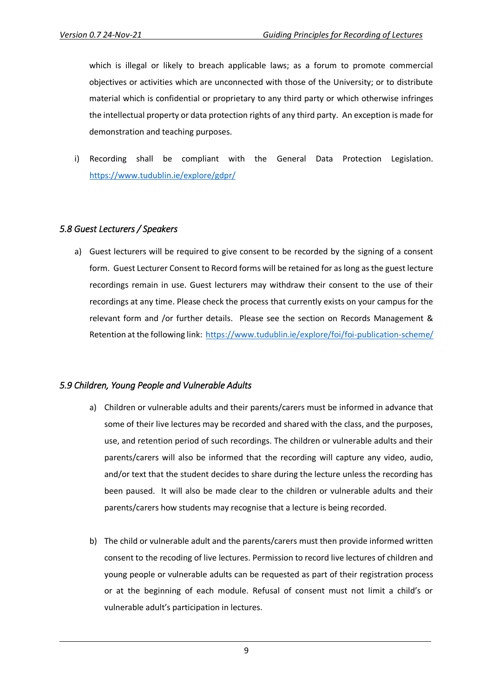which is illegal or likely to breach applicable laws; as a forum to promote commercial objectives or activities which are unconnected with those of the University; or to distribute material which is confidential or proprietary to any third party or which otherwise infringes the intellectual property or data protection rights of any third party. An exception is made for demonstration and teaching purposes.

i) Recording shall be compliant with the General Data Protection Legislation. <https://www.tudublin.ie/explore/gdpr/>

#### <span id="page-9-0"></span>*5.8 Guest Lecturers / Speakers*

a) Guest lecturers will be required to give consent to be recorded by the signing of a consent form. Guest Lecturer Consent to Record forms will be retained for as long as the guest lecture recordings remain in use. Guest lecturers may withdraw their consent to the use of their recordings at any time. Please check the process that currently exists on your campus for the relevant form and /or further details. Please see the section on Records Management & Retention at the following link: [https://www.tudublin.ie/explore/foi/foi-publication-scheme/](https://eur01.safelinks.protection.outlook.com/?url=https%3A%2F%2Fwww.tudublin.ie%2Fexplore%2Ffoi%2Ffoi-publication-scheme%2F&data=04%7C01%7CTom.Mulvey%40tudublin.ie%7C9e374aaec40c40ea566608d9a9204777%7C766317cbe9484e5f8cecdabc8e2fd5da%7C0%7C0%7C637726778387105858%7CUnknown%7CTWFpbGZsb3d8eyJWIjoiMC4wLjAwMDAiLCJQIjoiV2luMzIiLCJBTiI6Ik1haWwiLCJXVCI6Mn0%3D%7C3000&sdata=ofLzgVcoA1x0eNB5DW%2BCJJHcp0d6r%2BqOmQkRkjpSIQ8%3D&reserved=0)

#### <span id="page-9-1"></span>*5.9 Children, Young People and Vulnerable Adults*

- a) Children or vulnerable adults and their parents/carers must be informed in advance that some of their live lectures may be recorded and shared with the class, and the purposes, use, and retention period of such recordings. The children or vulnerable adults and their parents/carers will also be informed that the recording will capture any video, audio, and/or text that the student decides to share during the lecture unless the recording has been paused. It will also be made clear to the children or vulnerable adults and their parents/carers how students may recognise that a lecture is being recorded.
- b) The child or vulnerable adult and the parents/carers must then provide informed written consent to the recoding of live lectures. Permission to record live lectures of children and young people or vulnerable adults can be requested as part of their registration process or at the beginning of each module. Refusal of consent must not limit a child's or vulnerable adult's participation in lectures.

9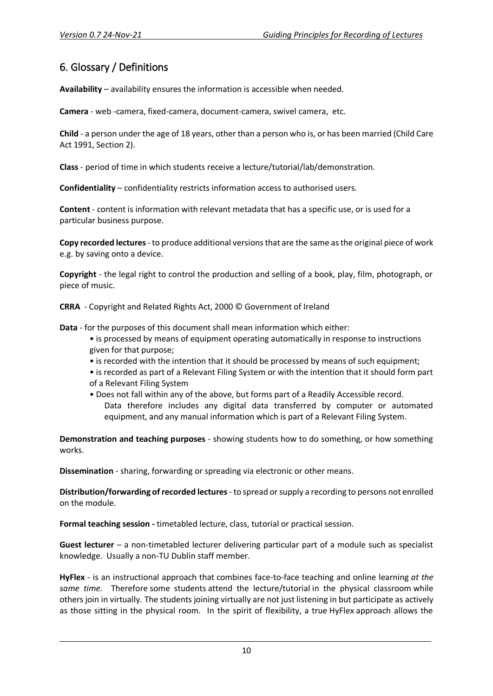# <span id="page-10-0"></span>6. Glossary / Definitions

**Availability** – availability ensures the information is accessible when needed.

**Camera** - web -camera, fixed-camera, document-camera, swivel camera, etc.

**Child** - a person under the age of 18 years, other than a person who is, or has been married (Child Care Act 1991, Section 2).

**Class** - period of time in which students receive a lecture/tutorial/lab/demonstration.

**Confidentiality** – confidentiality restricts information access to authorised users.

**Content** - content is information with relevant metadata that has a specific use, or is used for a particular business purpose.

**Copy recorded lectures**- to produce additional versions that are the same as the original piece of work e.g. by saving onto a device.

**Copyright** - the legal right to control the production and selling of a book, play, film, photograph, or piece of music.

**CRRA** - Copyright and Related Rights Act, 2000 © Government of Ireland

**Data** - for the purposes of this document shall mean information which either:

- is processed by means of equipment operating automatically in response to instructions given for that purpose;
- is recorded with the intention that it should be processed by means of such equipment;
- is recorded as part of a Relevant Filing System or with the intention that it should form part of a Relevant Filing System
- Does not fall within any of the above, but forms part of a Readily Accessible record. Data therefore includes any digital data transferred by computer or automated equipment, and any manual information which is part of a Relevant Filing System.

**Demonstration and teaching purposes** - showing students how to do something, or how something works.

**Dissemination** - sharing, forwarding or spreading via electronic or other means.

**Distribution/forwarding of recorded lectures**- to spread or supply a recording to persons not enrolled on the module.

**Formal teaching session -** timetabled lecture, class, tutorial or practical session.

**Guest lecturer** – a non-timetabled lecturer delivering particular part of a module such as specialist knowledge. Usually a non-TU Dublin staff member.

**HyFlex** - is an instructional approach that combines face-to-face teaching and online learning *at the same time.* Therefore some students attend the lecture/tutorial in the physical classroom while others join in virtually*.* The students joining virtually are not just listening in but participate as actively as those sitting in the physical room. In the spirit of flexibility, a true HyFlex approach allows the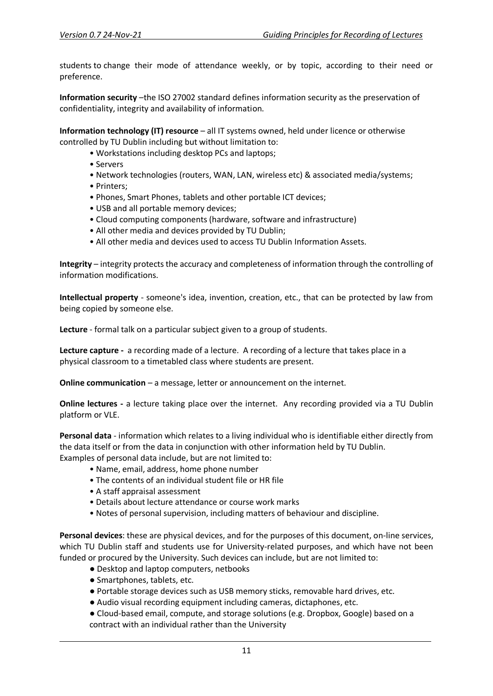students to change their mode of attendance weekly, or by topic, according to their need or preference.

**Information security** –the ISO 27002 standard defines information security as the preservation of confidentiality, integrity and availability of information.

**Information technology (IT) resource** – all IT systems owned, held under licence or otherwise controlled by TU Dublin including but without limitation to:

• Workstations including desktop PCs and laptops;

- Servers
- Network technologies (routers, WAN, LAN, wireless etc) & associated media/systems;
- Printers;
- Phones, Smart Phones, tablets and other portable ICT devices;
- USB and all portable memory devices;
- Cloud computing components (hardware, software and infrastructure)
- All other media and devices provided by TU Dublin;
- All other media and devices used to access TU Dublin Information Assets.

**Integrity** – integrity protects the accuracy and completeness of information through the controlling of information modifications.

**Intellectual property** - someone's idea, invention, creation, etc., that can be protected by law from being copied by someone else.

**Lecture** - formal talk on a particular subject given to a group of students.

**Lecture capture -** a recording made of a lecture. A recording of a lecture that takes place in a physical classroom to a timetabled class where students are present.

**Online communication** – a message, letter or announcement on the internet.

**Online lectures -** a lecture taking place over the internet. Any recording provided via a TU Dublin platform or VLE.

**Personal data** - information which relates to a living individual who is identifiable either directly from the data itself or from the data in conjunction with other information held by TU Dublin. Examples of personal data include, but are not limited to:

- Name, email, address, home phone number
- The contents of an individual student file or HR file
- A staff appraisal assessment
- Details about lecture attendance or course work marks
- Notes of personal supervision, including matters of behaviour and discipline.

**Personal devices**: these are physical devices, and for the purposes of this document, on-line services, which TU Dublin staff and students use for University-related purposes, and which have not been funded or procured by the University. Such devices can include, but are not limited to:

- Desktop and laptop computers, netbooks
- Smartphones, tablets, etc.
- Portable storage devices such as USB memory sticks, removable hard drives, etc.
- Audio visual recording equipment including cameras, dictaphones, etc.
- Cloud-based email, compute, and storage solutions (e.g. Dropbox, Google) based on a contract with an individual rather than the University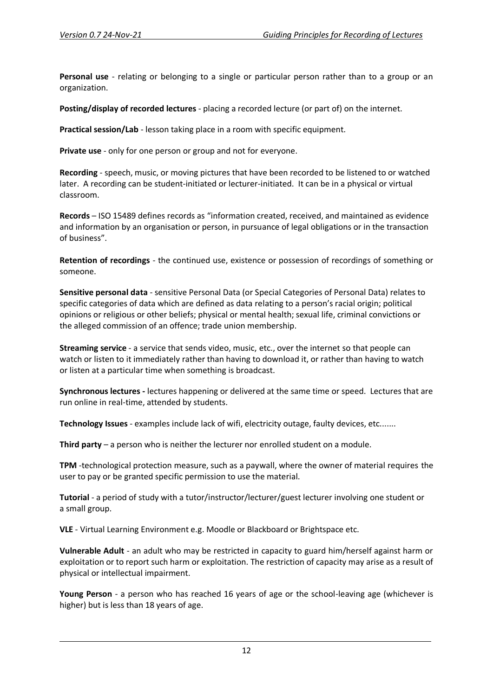**Personal use** - relating or belonging to a single or particular person rather than to a group or an organization.

**Posting/display of recorded lectures** - placing a recorded lecture (or part of) on the internet.

**Practical session/Lab** - lesson taking place in a room with specific equipment.

**Private use** - only for one person or group and not for everyone.

**Recording** - speech, music, or moving pictures that have been recorded to be listened to or watched later. A recording can be student-initiated or lecturer-initiated. It can be in a physical or virtual classroom.

**Records** – ISO 15489 defines records as "information created, received, and maintained as evidence and information by an organisation or person, in pursuance of legal obligations or in the transaction of business".

**Retention of recordings** - the continued use, existence or possession of recordings of something or someone.

**Sensitive personal data** - sensitive Personal Data (or Special Categories of Personal Data) relates to specific categories of data which are defined as data relating to a person's racial origin; political opinions or religious or other beliefs; physical or mental health; sexual life, criminal convictions or the alleged commission of an offence; trade union membership.

**Streaming service** - a service that sends video, music, etc., over the internet so that people can watch or listen to it immediately rather than having to download it, or rather than having to watch or listen at a particular time when something is broadcast.

**Synchronous lectures -** lectures happening or delivered at the same time or speed. Lectures that are run online in real-time, attended by students.

**Technology Issues** - examples include lack of wifi, electricity outage, faulty devices, etc.......

**Third party** – a person who is neither the lecturer nor enrolled student on a module.

**TPM** -technological protection measure, such as a paywall, where the owner of material requires the user to pay or be granted specific permission to use the material.

**Tutorial** - a period of study with a tutor/instructor/lecturer/guest lecturer involving one student or a small group.

**VLE** - Virtual Learning Environment e.g. Moodle or Blackboard or Brightspace etc.

**Vulnerable Adult** - an adult who may be restricted in capacity to guard him/herself against harm or exploitation or to report such harm or exploitation. The restriction of capacity may arise as a result of physical or intellectual impairment.

**Young Person** - a person who has reached 16 years of age or the school-leaving age (whichever is higher) but is less than 18 years of age.